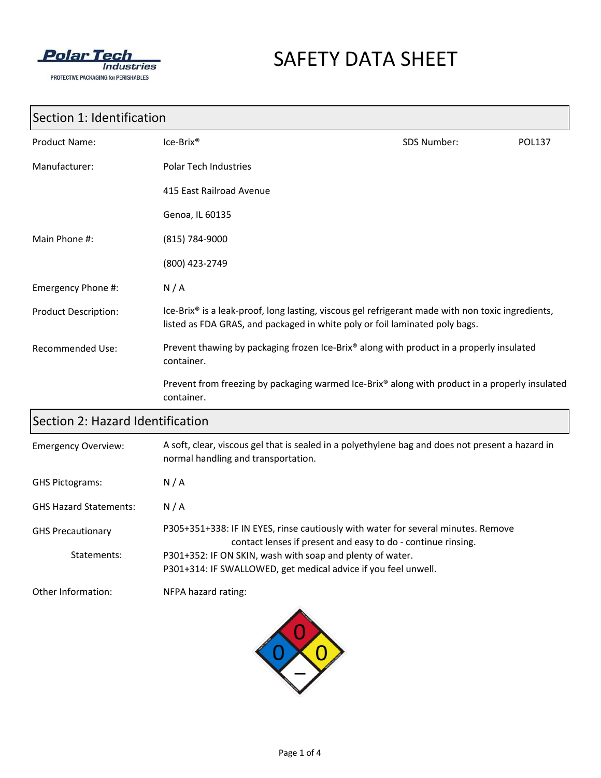

# SAFETY DATA SHEET

#### Section 1: Identification

| <b>Product Name:</b>        | $Ice-Brix®$                                                                                                                                                                                  | SDS Number: | <b>POL137</b> |
|-----------------------------|----------------------------------------------------------------------------------------------------------------------------------------------------------------------------------------------|-------------|---------------|
| Manufacturer:               | <b>Polar Tech Industries</b>                                                                                                                                                                 |             |               |
|                             | 415 East Railroad Avenue                                                                                                                                                                     |             |               |
|                             | Genoa, IL 60135                                                                                                                                                                              |             |               |
| Main Phone #:               | (815) 784-9000                                                                                                                                                                               |             |               |
|                             | (800) 423-2749                                                                                                                                                                               |             |               |
| Emergency Phone #:          | N/A                                                                                                                                                                                          |             |               |
| <b>Product Description:</b> | Ice-Brix <sup>®</sup> is a leak-proof, long lasting, viscous gel refrigerant made with non toxic ingredients,<br>listed as FDA GRAS, and packaged in white poly or foil laminated poly bags. |             |               |
| <b>Recommended Use:</b>     | Prevent thawing by packaging frozen Ice-Brix® along with product in a properly insulated<br>container.                                                                                       |             |               |
|                             | Prevent from freezing by packaging warmed Ice-Brix® along with product in a properly insulated<br>container.                                                                                 |             |               |

## Section 2: Hazard Identification

| <b>Emergency Overview:</b>    | A soft, clear, viscous gel that is sealed in a polyethylene bag and does not present a hazard in<br>normal handling and transportation.           |
|-------------------------------|---------------------------------------------------------------------------------------------------------------------------------------------------|
| <b>GHS Pictograms:</b>        | N/A                                                                                                                                               |
| <b>GHS Hazard Statements:</b> | N/A                                                                                                                                               |
| <b>GHS Precautionary</b>      | P305+351+338: IF IN EYES, rinse cautiously with water for several minutes. Remove<br>contact lenses if present and easy to do - continue rinsing. |
| Statements:                   | P301+352: IF ON SKIN, wash with soap and plenty of water.                                                                                         |
|                               | P301+314: IF SWALLOWED, get medical advice if you feel unwell.                                                                                    |
| Other Information:            | NFPA hazard rating:                                                                                                                               |

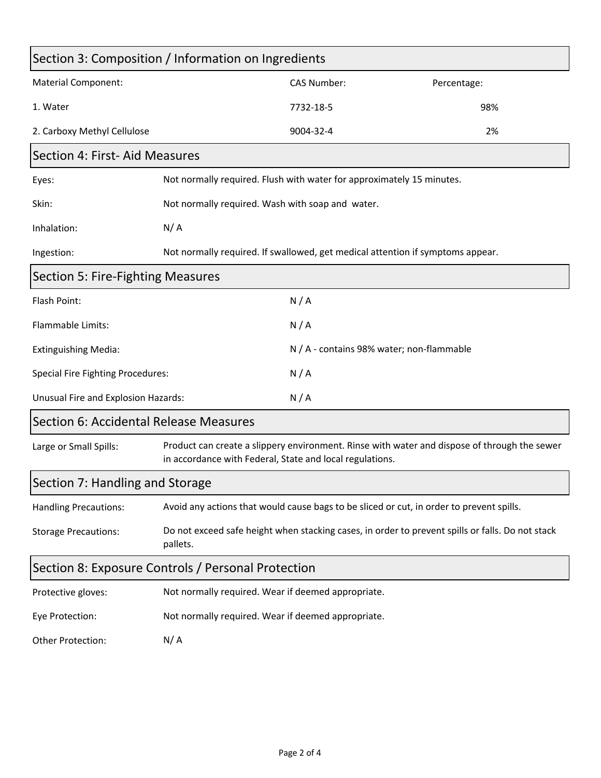| Section 3: Composition / Information on Ingredients |                                                                                                                                                          |                                                                                          |             |  |
|-----------------------------------------------------|----------------------------------------------------------------------------------------------------------------------------------------------------------|------------------------------------------------------------------------------------------|-------------|--|
| <b>Material Component:</b>                          |                                                                                                                                                          | <b>CAS Number:</b>                                                                       | Percentage: |  |
| 1. Water                                            |                                                                                                                                                          | 7732-18-5                                                                                | 98%         |  |
| 2. Carboxy Methyl Cellulose                         |                                                                                                                                                          | 9004-32-4                                                                                | 2%          |  |
| Section 4: First- Aid Measures                      |                                                                                                                                                          |                                                                                          |             |  |
| Eyes:                                               | Not normally required. Flush with water for approximately 15 minutes.                                                                                    |                                                                                          |             |  |
| Skin:                                               | Not normally required. Wash with soap and water.                                                                                                         |                                                                                          |             |  |
| Inhalation:                                         | N/A                                                                                                                                                      |                                                                                          |             |  |
| Ingestion:                                          |                                                                                                                                                          | Not normally required. If swallowed, get medical attention if symptoms appear.           |             |  |
| Section 5: Fire-Fighting Measures                   |                                                                                                                                                          |                                                                                          |             |  |
| Flash Point:                                        |                                                                                                                                                          | N/A                                                                                      |             |  |
| Flammable Limits:                                   |                                                                                                                                                          | N/A                                                                                      |             |  |
| <b>Extinguishing Media:</b>                         |                                                                                                                                                          | N / A - contains 98% water; non-flammable                                                |             |  |
| <b>Special Fire Fighting Procedures:</b>            |                                                                                                                                                          | N/A                                                                                      |             |  |
| Unusual Fire and Explosion Hazards:                 |                                                                                                                                                          | N/A                                                                                      |             |  |
| Section 6: Accidental Release Measures              |                                                                                                                                                          |                                                                                          |             |  |
| Large or Small Spills:                              | Product can create a slippery environment. Rinse with water and dispose of through the sewer<br>in accordance with Federal, State and local regulations. |                                                                                          |             |  |
| Section 7: Handling and Storage                     |                                                                                                                                                          |                                                                                          |             |  |
| <b>Handling Precautions:</b>                        |                                                                                                                                                          | Avoid any actions that would cause bags to be sliced or cut, in order to prevent spills. |             |  |
| <b>Storage Precautions:</b>                         | Do not exceed safe height when stacking cases, in order to prevent spills or falls. Do not stack<br>pallets.                                             |                                                                                          |             |  |
| Section 8: Exposure Controls / Personal Protection  |                                                                                                                                                          |                                                                                          |             |  |
| Protective gloves:                                  | Not normally required. Wear if deemed appropriate.                                                                                                       |                                                                                          |             |  |
| Eye Protection:                                     | Not normally required. Wear if deemed appropriate.                                                                                                       |                                                                                          |             |  |
| Other Protection:                                   | N/A                                                                                                                                                      |                                                                                          |             |  |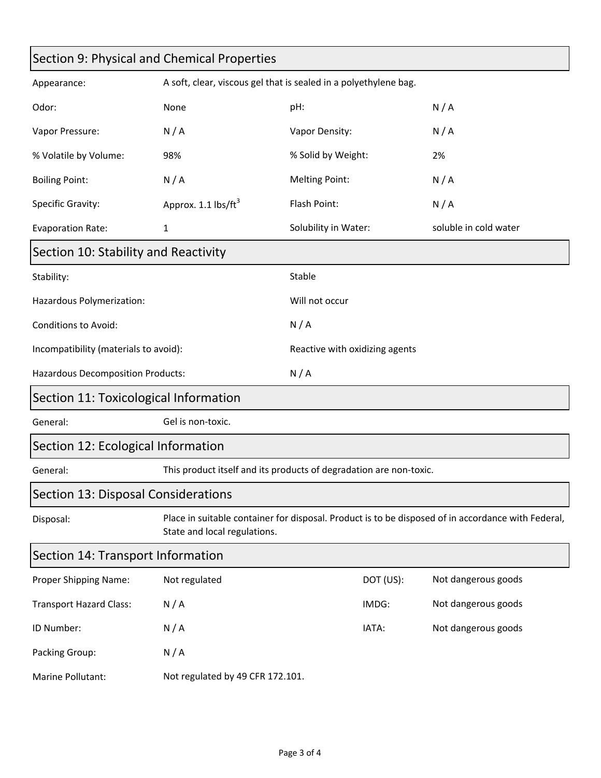| Section 9: Physical and Chemical Properties |                                                                    |                                |           |                                                                                                    |
|---------------------------------------------|--------------------------------------------------------------------|--------------------------------|-----------|----------------------------------------------------------------------------------------------------|
| Appearance:                                 | A soft, clear, viscous gel that is sealed in a polyethylene bag.   |                                |           |                                                                                                    |
| Odor:                                       | None                                                               | pH:                            |           | N/A                                                                                                |
| Vapor Pressure:                             | N/A                                                                | Vapor Density:                 |           | N/A                                                                                                |
| % Volatile by Volume:                       | 98%                                                                | % Solid by Weight:             |           | 2%                                                                                                 |
| <b>Boiling Point:</b>                       | N/A                                                                | <b>Melting Point:</b>          |           | N/A                                                                                                |
| Specific Gravity:                           | Approx. 1.1 lbs/ft <sup>3</sup>                                    | Flash Point:                   |           | N/A                                                                                                |
| <b>Evaporation Rate:</b>                    | 1                                                                  | Solubility in Water:           |           | soluble in cold water                                                                              |
| Section 10: Stability and Reactivity        |                                                                    |                                |           |                                                                                                    |
| Stability:                                  |                                                                    | Stable                         |           |                                                                                                    |
| Hazardous Polymerization:                   |                                                                    | Will not occur                 |           |                                                                                                    |
| Conditions to Avoid:                        |                                                                    | N/A                            |           |                                                                                                    |
| Incompatibility (materials to avoid):       |                                                                    | Reactive with oxidizing agents |           |                                                                                                    |
| Hazardous Decomposition Products:           |                                                                    | N/A                            |           |                                                                                                    |
| Section 11: Toxicological Information       |                                                                    |                                |           |                                                                                                    |
| General:                                    | Gel is non-toxic.                                                  |                                |           |                                                                                                    |
| Section 12: Ecological Information          |                                                                    |                                |           |                                                                                                    |
| General:                                    | This product itself and its products of degradation are non-toxic. |                                |           |                                                                                                    |
| Section 13: Disposal Considerations         |                                                                    |                                |           |                                                                                                    |
| Disposal:                                   | State and local regulations.                                       |                                |           | Place in suitable container for disposal. Product is to be disposed of in accordance with Federal, |
| Section 14: Transport Information           |                                                                    |                                |           |                                                                                                    |
| Proper Shipping Name:                       | Not regulated                                                      |                                | DOT (US): | Not dangerous goods                                                                                |
| <b>Transport Hazard Class:</b>              | N/A                                                                |                                | IMDG:     | Not dangerous goods                                                                                |
| ID Number:                                  | N/A                                                                |                                | IATA:     | Not dangerous goods                                                                                |
| Packing Group:                              | N/A                                                                |                                |           |                                                                                                    |
| Marine Pollutant:                           | Not regulated by 49 CFR 172.101.                                   |                                |           |                                                                                                    |